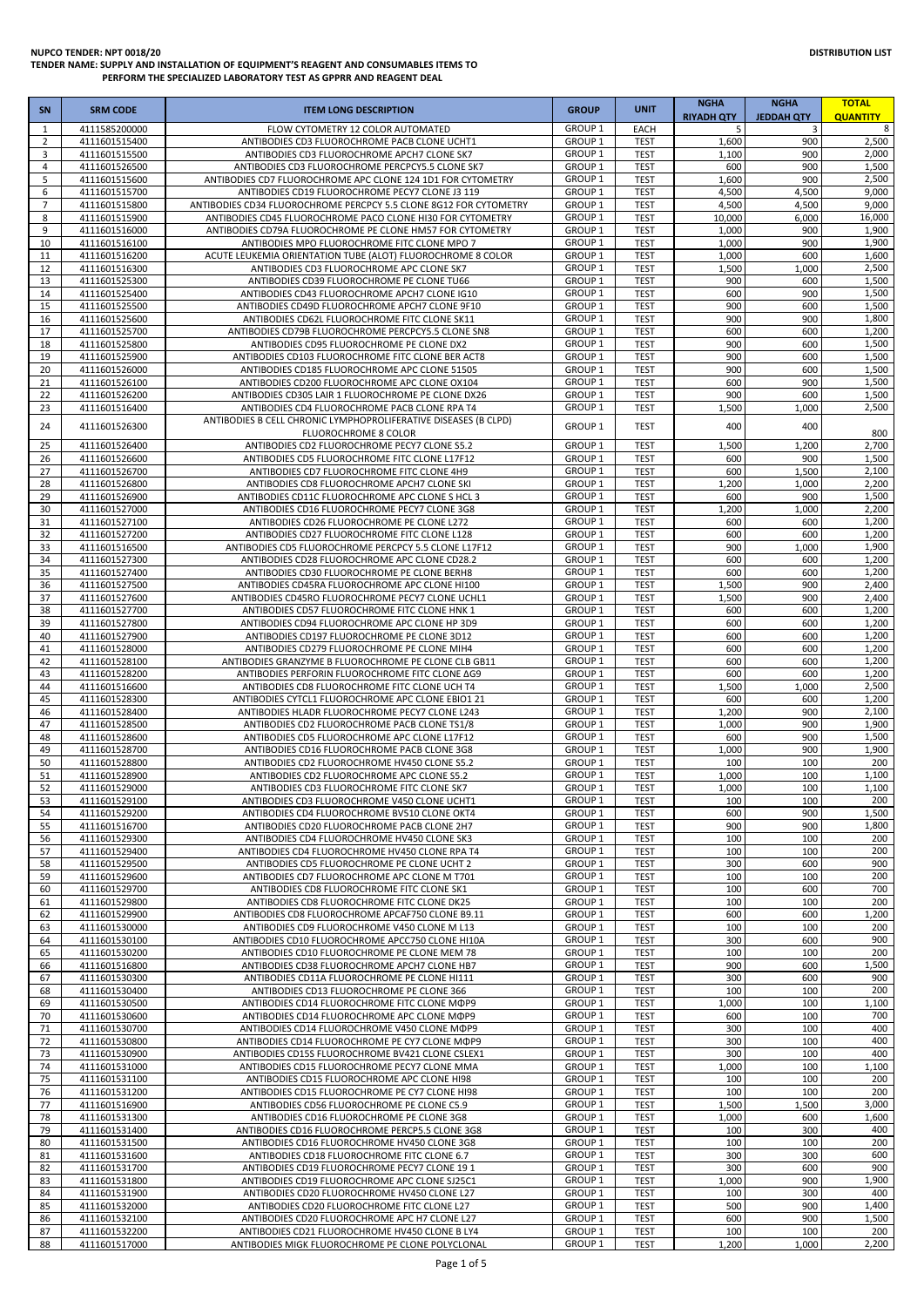# **DISTRIBUTION LIST**

| <b>SN</b>      | <b>SRM CODE</b>                | <b>ITEM LONG DESCRIPTION</b>                                                                                    | <b>GROUP</b>                             | <b>UNIT</b>                | <b>NGHA</b><br><b>RIYADH QTY</b> | <b>NGHA</b><br><b>JEDDAH QTY</b> | <b>TOTAL</b><br><b>QUANTITY</b> |
|----------------|--------------------------------|-----------------------------------------------------------------------------------------------------------------|------------------------------------------|----------------------------|----------------------------------|----------------------------------|---------------------------------|
| 1              | 4111585200000                  | FLOW CYTOMETRY 12 COLOR AUTOMATED                                                                               | <b>GROUP 1</b>                           | EACH                       | 5                                | 3                                | 8                               |
| $\overline{2}$ | 4111601515400                  | ANTIBODIES CD3 FLUOROCHROME PACB CLONE UCHT1                                                                    | GROUP <sub>1</sub>                       | <b>TEST</b>                | 1,600                            | 900                              | 2,500                           |
| 3<br>4         | 4111601515500                  | ANTIBODIES CD3 FLUOROCHROME APCH7 CLONE SK7                                                                     | GROUP <sub>1</sub><br>GROUP <sub>1</sub> | <b>TEST</b><br><b>TEST</b> | 1,100<br>600                     | 900<br>900                       | 2,000<br>1,500                  |
| 5              | 4111601526500<br>4111601515600 | ANTIBODIES CD3 FLUOROCHROME PERCPCY5.5 CLONE SK7<br>ANTIBODIES CD7 FLUOROCHROME APC CLONE 124 1D1 FOR CYTOMETRY | GROUP <sub>1</sub>                       | <b>TEST</b>                | 1,600                            | 900                              | 2,500                           |
| 6              | 4111601515700                  | ANTIBODIES CD19 FLUOROCHROME PECY7 CLONE J3 119                                                                 | GROUP <sub>1</sub>                       | <b>TEST</b>                | 4,500                            | 4,500                            | 9,000                           |
| 7              | 4111601515800                  | ANTIBODIES CD34 FLUOROCHROME PERCPCY 5.5 CLONE 8G12 FOR CYTOMETRY                                               | GROUP <sub>1</sub>                       | <b>TEST</b>                | 4,500                            | 4,500                            | 9,000                           |
| 8              | 4111601515900                  | ANTIBODIES CD45 FLUOROCHROME PACO CLONE HI30 FOR CYTOMETRY                                                      | GROUP <sub>1</sub>                       | <b>TEST</b>                | 10,000                           | 6,000                            | 16,000                          |
| 9              | 4111601516000                  | ANTIBODIES CD79A FLUOROCHROME PE CLONE HM57 FOR CYTOMETRY                                                       | GROUP <sub>1</sub><br><b>GROUP 1</b>     | <b>TEST</b>                | 1,000                            | 900                              | 1,900<br>1,900                  |
| 10<br>11       | 4111601516100<br>4111601516200 | ANTIBODIES MPO FLUOROCHROME FITC CLONE MPO 7<br>ACUTE LEUKEMIA ORIENTATION TUBE (ALOT) FLUOROCHROME 8 COLOR     | GROUP <sub>1</sub>                       | <b>TEST</b><br><b>TEST</b> | 1,000<br>1,000                   | 900<br>600                       | 1,600                           |
| 12             | 4111601516300                  | ANTIBODIES CD3 FLUOROCHROME APC CLONE SK7                                                                       | GROUP <sub>1</sub>                       | <b>TEST</b>                | 1,500                            | 1,000                            | 2,500                           |
| 13             | 4111601525300                  | ANTIBODIES CD39 FLUOROCHROME PE CLONE TU66                                                                      | GROUP <sub>1</sub>                       | <b>TEST</b>                | 900                              | 600                              | 1,500                           |
| 14             | 4111601525400                  | ANTIBODIES CD43 FLUOROCHROME APCH7 CLONE IG10                                                                   | GROUP <sub>1</sub>                       | <b>TEST</b>                | 600                              | 900                              | 1,500                           |
| 15             | 4111601525500                  | ANTIBODIES CD49D FLUOROCHROME APCH7 CLONE 9F10                                                                  | GROUP <sub>1</sub>                       | <b>TEST</b>                | 900                              | 600                              | 1,500                           |
| 16<br>17       | 4111601525600<br>4111601525700 | ANTIBODIES CD62L FLUOROCHROME FITC CLONE SK11<br>ANTIBODIES CD79B FLUOROCHROME PERCPCY5.5 CLONE SN8             | <b>GROUP 1</b><br><b>GROUP 1</b>         | <b>TEST</b><br><b>TEST</b> | 900<br>600                       | 900<br>600                       | 1,800<br>1,200                  |
| 18             | 4111601525800                  | ANTIBODIES CD95 FLUOROCHROME PE CLONE DX2                                                                       | GROUP <sub>1</sub>                       | <b>TEST</b>                | 900                              | 600                              | 1,500                           |
| 19             | 4111601525900                  | ANTIBODIES CD103 FLUOROCHROME FITC CLONE BER ACT8                                                               | GROUP <sub>1</sub>                       | <b>TEST</b>                | 900                              | 600                              | 1,500                           |
| 20             | 4111601526000                  | ANTIBODIES CD185 FLUOROCHROME APC CLONE 51505                                                                   | GROUP <sub>1</sub>                       | <b>TEST</b>                | 900                              | 600                              | 1,500                           |
| 21             | 4111601526100                  | ANTIBODIES CD200 FLUOROCHROME APC CLONE OX104                                                                   | GROUP <sub>1</sub>                       | <b>TEST</b>                | 600                              | 900                              | 1,500                           |
| 22<br>23       | 4111601526200<br>4111601516400 | ANTIBODIES CD305 LAIR 1 FLUOROCHROME PE CLONE DX26<br>ANTIBODIES CD4 FLUOROCHROME PACB CLONE RPA T4             | GROUP <sub>1</sub><br>GROUP <sub>1</sub> | <b>TEST</b><br><b>TEST</b> | 900<br>1,500                     | 600<br>1,000                     | 1,500<br>2,500                  |
|                |                                | ANTIBODIES B CELL CHRONIC LYMPHOPROLIFERATIVE DISEASES (B CLPD)                                                 |                                          |                            |                                  |                                  |                                 |
| 24             | 4111601526300                  | FLUOROCHROME 8 COLOR                                                                                            | GROUP <sub>1</sub>                       | <b>TEST</b>                | 400                              | 400                              | 800                             |
| 25             | 4111601526400                  | ANTIBODIES CD2 FLUOROCHROME PECY7 CLONE S5.2                                                                    | <b>GROUP 1</b>                           | <b>TEST</b>                | 1,500                            | 1,200                            | 2,700                           |
| 26             | 4111601526600                  | ANTIBODIES CD5 FLUOROCHROME FITC CLONE L17F12                                                                   | <b>GROUP 1</b>                           | <b>TEST</b>                | 600                              | 900                              | 1,500                           |
| 27             | 4111601526700                  | ANTIBODIES CD7 FLUOROCHROME FITC CLONE 4H9                                                                      | GROUP <sub>1</sub>                       | <b>TEST</b>                | 600                              | 1,500                            | 2,100                           |
| 28<br>29       | 4111601526800<br>4111601526900 | ANTIBODIES CD8 FLUOROCHROME APCH7 CLONE SKI                                                                     | GROUP <sub>1</sub><br><b>GROUP 1</b>     | <b>TEST</b><br><b>TEST</b> | 1,200<br>600                     | 1,000<br>900                     | 2,200<br>1,500                  |
| 30             | 4111601527000                  | ANTIBODIES CD11C FLUOROCHROME APC CLONE S HCL 3<br>ANTIBODIES CD16 FLUOROCHROME PECY7 CLONE 3G8                 | <b>GROUP 1</b>                           | <b>TEST</b>                | 1,200                            | 1,000                            | 2,200                           |
| 31             | 4111601527100                  | ANTIBODIES CD26 FLUOROCHROME PE CLONE L272                                                                      | GROUP <sub>1</sub>                       | <b>TEST</b>                | 600                              | 600                              | 1,200                           |
| 32             | 4111601527200                  | ANTIBODIES CD27 FLUOROCHROME FITC CLONE L128                                                                    | GROUP <sub>1</sub>                       | <b>TEST</b>                | 600                              | 600                              | 1,200                           |
| 33             | 4111601516500                  | ANTIBODIES CD5 FLUOROCHROME PERCPCY 5.5 CLONE L17F12                                                            | <b>GROUP 1</b>                           | <b>TEST</b>                | 900                              | 1,000                            | 1,900                           |
| 34             | 4111601527300                  | ANTIBODIES CD28 FLUOROCHROME APC CLONE CD28.2                                                                   | GROUP <sub>1</sub>                       | <b>TEST</b>                | 600                              | 600                              | 1,200                           |
| 35<br>36       | 4111601527400<br>4111601527500 | ANTIBODIES CD30 FLUOROCHROME PE CLONE BERH8<br>ANTIBODIES CD45RA FLUOROCHROME APC CLONE HI100                   | <b>GROUP 1</b><br>GROUP <sub>1</sub>     | <b>TEST</b><br><b>TEST</b> | 600<br>1,500                     | 600<br>900                       | 1,200<br>2,400                  |
| 37             | 4111601527600                  | ANTIBODIES CD45RO FLUOROCHROME PECY7 CLONE UCHL1                                                                | GROUP <sub>1</sub>                       | <b>TEST</b>                | 1,500                            | 900                              | 2,400                           |
| 38             | 4111601527700                  | ANTIBODIES CD57 FLUOROCHROME FITC CLONE HNK 1                                                                   | GROUP <sub>1</sub>                       | <b>TEST</b>                | 600                              | 600                              | 1,200                           |
| 39             | 4111601527800                  | ANTIBODIES CD94 FLUOROCHROME APC CLONE HP 3D9                                                                   | GROUP <sub>1</sub>                       | <b>TEST</b>                | 600                              | 600                              | 1,200                           |
| 40             | 4111601527900                  | ANTIBODIES CD197 FLUOROCHROME PE CLONE 3D12                                                                     | GROUP <sub>1</sub>                       | <b>TEST</b>                | 600                              | 600                              | 1,200                           |
| 41             | 4111601528000                  | ANTIBODIES CD279 FLUOROCHROME PE CLONE MIH4                                                                     | GROUP <sub>1</sub><br>GROUP <sub>1</sub> | <b>TEST</b>                | 600<br>600                       | 600                              | 1,200<br>1,200                  |
| 42<br>43       | 4111601528100<br>4111601528200 | ANTIBODIES GRANZYME B FLUOROCHROME PE CLONE CLB GB11<br>ANTIBODIES PERFORIN FLUOROCHROME FITC CLONE AG9         | GROUP <sub>1</sub>                       | <b>TEST</b><br><b>TEST</b> | 600                              | 600<br>600                       | 1,200                           |
| 44             | 4111601516600                  | ANTIBODIES CD8 FLUOROCHROME FITC CLONE UCH T4                                                                   | <b>GROUP 1</b>                           | <b>TEST</b>                | 1,500                            | 1,000                            | 2,500                           |
| 45             | 4111601528300                  | ANTIBODIES CYTCL1 FLUOROCHROME APC CLONE EBIO1 21                                                               | <b>GROUP 1</b>                           | <b>TEST</b>                | 600                              | 600                              | 1,200                           |
| 46             | 4111601528400                  | ANTIBODIES HLADR FLUOROCHROME PECY7 CLONE L243                                                                  | GROUP <sub>1</sub>                       | <b>TEST</b>                | 1,200                            | 900                              | 2,100                           |
| 47             | 4111601528500                  | ANTIBODIES CD2 FLUOROCHROME PACB CLONE TS1/8                                                                    | GROUP <sub>1</sub>                       | <b>TEST</b>                | 1,000                            | 900                              | 1,900                           |
| 48<br>49       | 4111601528600<br>4111601528700 | ANTIBODIES CD5 FLUOROCHROME APC CLONE L17F12<br>ANTIBODIES CD16 FLUOROCHROME PACB CLONE 3G8                     | GROUP <sub>1</sub><br>GROUP <sub>1</sub> | <b>TEST</b><br><b>TEST</b> | 600<br>1,000                     | 900<br>900                       | 1,500<br>1,900                  |
| 50             | 4111601528800                  | ANTIBODIES CD2 FLUOROCHROME HV450 CLONE S5.2                                                                    | GROUP <sub>1</sub>                       | <b>TEST</b>                | 100                              | 100                              | 200                             |
| 51             | 4111601528900                  | ANTIBODIES CD2 FLUOROCHROME APC CLONE S5.2                                                                      | <b>GROUP 1</b>                           | <b>TEST</b>                | 1,000                            | 100                              | 1,100                           |
| 52             | 4111601529000                  | ANTIBODIES CD3 FLUOROCHROME FITC CLONE SK7                                                                      | <b>GROUP 1</b>                           | <b>TEST</b>                | 1,000                            | 100                              | 1,100                           |
| 53             | 4111601529100                  | ANTIBODIES CD3 FLUOROCHROME V450 CLONE UCHT1                                                                    | <b>GROUP 1</b>                           | <b>TEST</b>                | 100                              | 100                              | 200                             |
| 54<br>55       | 4111601529200<br>4111601516700 | ANTIBODIES CD4 FLUOROCHROME BV510 CLONE OKT4<br>ANTIBODIES CD20 FLUOROCHROME PACB CLONE 2H7                     | GROUP <sub>1</sub><br>GROUP <sub>1</sub> | <b>TEST</b><br><b>TEST</b> | 600<br>900                       | 900<br>900                       | 1,500<br>1,800                  |
| 56             | 4111601529300                  | ANTIBODIES CD4 FLUOROCHROME HV450 CLONE SK3                                                                     | GROUP <sub>1</sub>                       | <b>TEST</b>                | 100                              | 100                              | 200                             |
| 57             | 4111601529400                  | ANTIBODIES CD4 FLUOROCHROME HV450 CLONE RPA T4                                                                  | GROUP <sub>1</sub>                       | <b>TEST</b>                | 100                              | 100                              | 200                             |
| 58             | 4111601529500                  | ANTIBODIES CD5 FLUOROCHROME PE CLONE UCHT 2                                                                     | GROUP <sub>1</sub>                       | <b>TEST</b>                | 300                              | 600                              | 900                             |
| 59             | 4111601529600                  | ANTIBODIES CD7 FLUOROCHROME APC CLONE M T701                                                                    | GROUP <sub>1</sub>                       | <b>TEST</b>                | 100                              | 100                              | 200                             |
| 60<br>61       | 4111601529700<br>4111601529800 | ANTIBODIES CD8 FLUOROCHROME FITC CLONE SK1<br>ANTIBODIES CD8 FLUOROCHROME FITC CLONE DK25                       | GROUP <sub>1</sub><br><b>GROUP 1</b>     | <b>TEST</b><br><b>TEST</b> | 100<br>100                       | 600<br>100                       | 700<br>200                      |
| 62             | 4111601529900                  | ANTIBODIES CD8 FLUOROCHROME APCAF750 CLONE B9.11                                                                | GROUP <sub>1</sub>                       | <b>TEST</b>                | 600                              | 600                              | 1,200                           |
| 63             | 4111601530000                  | ANTIBODIES CD9 FLUOROCHROME V450 CLONE M L13                                                                    | GROUP <sub>1</sub>                       | <b>TEST</b>                | 100                              | 100                              | 200                             |
| 64             | 4111601530100                  | ANTIBODIES CD10 FLUOROCHROME APCC750 CLONE HI10A                                                                | GROUP <sub>1</sub>                       | <b>TEST</b>                | 300                              | 600                              | 900                             |
| 65             | 4111601530200                  | ANTIBODIES CD10 FLUOROCHROME PE CLONE MEM 78                                                                    | GROUP <sub>1</sub>                       | <b>TEST</b>                | 100                              | 100                              | 200                             |
| 66<br>67       | 4111601516800<br>4111601530300 | ANTIBODIES CD38 FLUOROCHROME APCH7 CLONE HB7<br>ANTIBODIES CD11A FLUOROCHROME PE CLONE HI111                    | GROUP <sub>1</sub><br>GROUP <sub>1</sub> | <b>TEST</b><br><b>TEST</b> | 900<br>300                       | 600<br>600                       | 1,500<br>900                    |
| 68             | 4111601530400                  | ANTIBODIES CD13 FLUOROCHROME PE CLONE 366                                                                       | <b>GROUP 1</b>                           | <b>TEST</b>                | 100                              | 100                              | 200                             |
| 69             | 4111601530500                  | ANTIBODIES CD14 FLUOROCHROME FITC CLONE MOP9                                                                    | GROUP <sub>1</sub>                       | <b>TEST</b>                | 1,000                            | 100                              | 1,100                           |
| 70             | 4111601530600                  | ANTIBODIES CD14 FLUOROCHROME APC CLONE MOP9                                                                     | GROUP <sub>1</sub>                       | <b>TEST</b>                | 600                              | 100                              | 700                             |
| 71             | 4111601530700                  | ANTIBODIES CD14 FLUOROCHROME V450 CLONE MOP9                                                                    | GROUP <sub>1</sub>                       | <b>TEST</b>                | 300                              | 100                              | 400                             |
| 72<br>73       | 4111601530800<br>4111601530900 | ANTIBODIES CD14 FLUOROCHROME PE CY7 CLONE MOP9<br>ANTIBODIES CD15S FLUOROCHROME BV421 CLONE CSLEX1              | GROUP <sub>1</sub><br>GROUP <sub>1</sub> | <b>TEST</b><br><b>TEST</b> | 300<br>300                       | 100<br>100                       | 400<br>400                      |
| 74             | 4111601531000                  | ANTIBODIES CD15 FLUOROCHROME PECY7 CLONE MMA                                                                    | GROUP <sub>1</sub>                       | <b>TEST</b>                | 1,000                            | 100                              | 1,100                           |
| 75             | 4111601531100                  | ANTIBODIES CD15 FLUOROCHROME APC CLONE HI98                                                                     | GROUP <sub>1</sub>                       | <b>TEST</b>                | 100                              | 100                              | 200                             |
| 76             | 4111601531200                  | ANTIBODIES CD15 FLUOROCHROME PE CY7 CLONE HI98                                                                  | GROUP <sub>1</sub>                       | <b>TEST</b>                | 100                              | 100                              | 200                             |
| 77             | 4111601516900                  | ANTIBODIES CD56 FLUOROCHROME PE CLONE C5.9                                                                      | GROUP <sub>1</sub>                       | <b>TEST</b>                | 1,500                            | 1,500                            | 3,000                           |
| 78             | 4111601531300                  | ANTIBODIES CD16 FLUOROCHROME PE CLONE 3G8                                                                       | GROUP <sub>1</sub>                       | <b>TEST</b>                | 1,000                            | 600                              | 1,600                           |
| 79<br>80       | 4111601531400<br>4111601531500 | ANTIBODIES CD16 FLUOROCHROME PERCP5.5 CLONE 3G8<br>ANTIBODIES CD16 FLUOROCHROME HV450 CLONE 3G8                 | <b>GROUP 1</b><br>GROUP <sub>1</sub>     | <b>TEST</b><br><b>TEST</b> | 100<br>100                       | 300<br>100                       | 400<br>200                      |
| 81             | 4111601531600                  | ANTIBODIES CD18 FLUOROCHROME FITC CLONE 6.7                                                                     | GROUP <sub>1</sub>                       | <b>TEST</b>                | 300                              | 300                              | 600                             |
| 82             | 4111601531700                  | ANTIBODIES CD19 FLUOROCHROME PECY7 CLONE 19 1                                                                   | GROUP <sub>1</sub>                       | <b>TEST</b>                | 300                              | 600                              | 900                             |
| 83             | 4111601531800                  | ANTIBODIES CD19 FLUOROCHROME APC CLONE SJ25C1                                                                   | GROUP <sub>1</sub>                       | <b>TEST</b>                | 1,000                            | 900                              | 1,900                           |
| 84             | 4111601531900                  | ANTIBODIES CD20 FLUOROCHROME HV450 CLONE L27                                                                    | GROUP <sub>1</sub>                       | <b>TEST</b>                | 100                              | 300                              | 400                             |
| 85             | 4111601532000                  | ANTIBODIES CD20 FLUOROCHROME FITC CLONE L27<br>ANTIBODIES CD20 FLUOROCHROME APC H7 CLONE L27                    | GROUP <sub>1</sub><br>GROUP <sub>1</sub> | <b>TEST</b><br><b>TEST</b> | 500<br>600                       | 900<br>900                       | 1,400<br>1,500                  |
| 86<br>87       | 4111601532100<br>4111601532200 | ANTIBODIES CD21 FLUOROCHROME HV450 CLONE B LY4                                                                  | GROUP <sub>1</sub>                       | <b>TEST</b>                | 100                              | 100                              | 200                             |
| 88             | 4111601517000                  | ANTIBODIES MIGK FLUOROCHROME PE CLONE POLYCLONAL                                                                | GROUP <sub>1</sub>                       | <b>TEST</b>                | 1,200                            | 1,000                            | 2,200                           |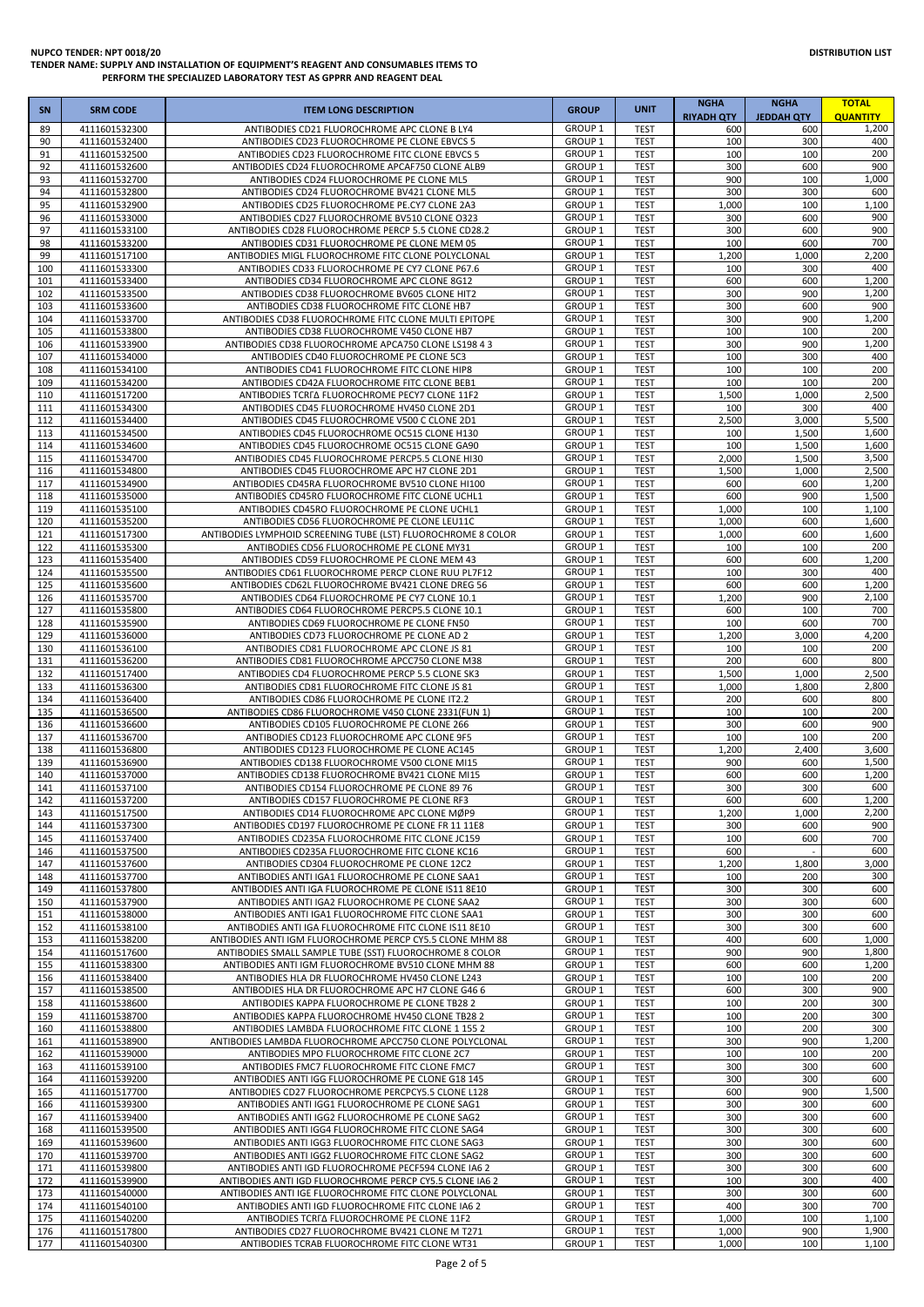# **DISTRIBUTION LIST**

| <b>SN</b>  | <b>SRM CODE</b>                | <b>ITEM LONG DESCRIPTION</b>                                                                                     | <b>GROUP</b>                             | <b>UNIT</b>                | <b>NGHA</b><br><b>RIYADH OTY</b> | <b>NGHA</b><br><b>JEDDAH QTY</b> | <b>TOTAL</b><br><b>QUANTITY</b> |
|------------|--------------------------------|------------------------------------------------------------------------------------------------------------------|------------------------------------------|----------------------------|----------------------------------|----------------------------------|---------------------------------|
| 89         | 4111601532300                  | ANTIBODIES CD21 FLUOROCHROME APC CLONE B LY4                                                                     | GROUP <sub>1</sub>                       | <b>TEST</b>                | 600                              | 600                              | 1,200                           |
| 90<br>91   | 4111601532400<br>4111601532500 | ANTIBODIES CD23 FLUOROCHROME PE CLONE EBVCS 5<br>ANTIBODIES CD23 FLUOROCHROME FITC CLONE EBVCS 5                 | GROUP <sub>1</sub><br>GROUP <sub>1</sub> | <b>TEST</b><br><b>TEST</b> | 100<br>100                       | 300<br>100                       | 400<br>200                      |
| 92         | 4111601532600                  | ANTIBODIES CD24 FLUOROCHROME APCAF750 CLONE ALB9                                                                 | GROUP <sub>1</sub>                       | <b>TEST</b>                | 300                              | 600                              | 900                             |
| 93         | 4111601532700                  | ANTIBODIES CD24 FLUOROCHROME PE CLONE ML5                                                                        | GROUP <sub>1</sub>                       | <b>TEST</b>                | 900                              | 100                              | 1,000                           |
| 94         | 4111601532800                  | ANTIBODIES CD24 FLUOROCHROME BV421 CLONE ML5                                                                     | GROUP <sub>1</sub>                       | <b>TEST</b>                | 300                              | 300                              | 600                             |
| 95<br>96   | 4111601532900<br>4111601533000 | ANTIBODIES CD25 FLUOROCHROME PE.CY7 CLONE 2A3<br>ANTIBODIES CD27 FLUOROCHROME BV510 CLONE O323                   | GROUP <sub>1</sub><br>GROUP <sub>1</sub> | <b>TEST</b><br><b>TEST</b> | 1,000<br>300                     | 100<br>600                       | 1,100<br>900                    |
| 97         | 4111601533100                  | ANTIBODIES CD28 FLUOROCHROME PERCP 5.5 CLONE CD28.2                                                              | GROUP <sub>1</sub>                       | <b>TEST</b>                | 300                              | 600                              | 900                             |
| 98         | 4111601533200                  | ANTIBODIES CD31 FLUOROCHROME PE CLONE MEM 05                                                                     | GROUP <sub>1</sub>                       | <b>TEST</b>                | 100                              | 600                              | 700                             |
| 99         | 4111601517100                  | ANTIBODIES MIGL FLUOROCHROME FITC CLONE POLYCLONAL                                                               | GROUP <sub>1</sub>                       | <b>TEST</b>                | 1,200                            | 1,000                            | 2,200                           |
| 100<br>101 | 4111601533300<br>4111601533400 | ANTIBODIES CD33 FLUOROCHROME PE CY7 CLONE P67.6<br>ANTIBODIES CD34 FLUOROCHROME APC CLONE 8G12                   | GROUP <sub>1</sub><br>GROUP <sub>1</sub> | <b>TEST</b><br><b>TEST</b> | 100<br>600                       | 300<br>600                       | 400<br>1,200                    |
| 102        | 4111601533500                  | ANTIBODIES CD38 FLUOROCHROME BV605 CLONE HIT2                                                                    | GROUP <sub>1</sub>                       | <b>TEST</b>                | 300                              | 900                              | 1,200                           |
| 103        | 4111601533600                  | ANTIBODIES CD38 FLUOROCHROME FITC CLONE HB7                                                                      | GROUP <sub>1</sub>                       | <b>TEST</b>                | 300                              | 600                              | 900                             |
| 104        | 4111601533700                  | ANTIBODIES CD38 FLUOROCHROME FITC CLONE MULTI EPITOPE                                                            | GROUP <sub>1</sub>                       | <b>TEST</b>                | 300                              | 900                              | 1,200                           |
| 105<br>106 | 4111601533800<br>4111601533900 | ANTIBODIES CD38 FLUOROCHROME V450 CLONE HB7<br>ANTIBODIES CD38 FLUOROCHROME APCA750 CLONE LS198 4 3              | GROUP <sub>1</sub><br>GROUP <sub>1</sub> | <b>TEST</b><br><b>TEST</b> | 100<br>300                       | 100<br>900                       | 200<br>1,200                    |
| 107        | 4111601534000                  | ANTIBODIES CD40 FLUOROCHROME PE CLONE 5C3                                                                        | GROUP <sub>1</sub>                       | <b>TEST</b>                | 100                              | 300                              | 400                             |
| 108        | 4111601534100                  | ANTIBODIES CD41 FLUOROCHROME FITC CLONE HIP8                                                                     | GROUP <sub>1</sub>                       | <b>TEST</b>                | 100                              | 100                              | 200                             |
| 109        | 4111601534200                  | ANTIBODIES CD42A FLUOROCHROME FITC CLONE BEB1                                                                    | GROUP <sub>1</sub>                       | <b>TEST</b>                | 100                              | 100                              | 200                             |
| 110<br>111 | 4111601517200<br>4111601534300 | ANTIBODIES TCRFA FLUOROCHROME PECY7 CLONE 11F2<br>ANTIBODIES CD45 FLUOROCHROME HV450 CLONE 2D1                   | <b>GROUP 1</b><br><b>GROUP 1</b>         | <b>TEST</b><br><b>TEST</b> | 1,500<br>100                     | 1,000<br>300                     | 2,500<br>400                    |
| 112        | 4111601534400                  | ANTIBODIES CD45 FLUOROCHROME V500 C CLONE 2D1                                                                    | GROUP <sub>1</sub>                       | <b>TEST</b>                | 2,500                            | 3,000                            | 5,500                           |
| 113        | 4111601534500                  | ANTIBODIES CD45 FLUOROCHROME OC515 CLONE H130                                                                    | GROUP <sub>1</sub>                       | <b>TEST</b>                | 100                              | 1,500                            | 1,600                           |
| 114        | 4111601534600                  | ANTIBODIES CD45 FLUOROCHROME OC515 CLONE GA90                                                                    | GROUP <sub>1</sub>                       | <b>TEST</b>                | 100                              | 1,500                            | 1,600                           |
| 115        | 4111601534700                  | ANTIBODIES CD45 FLUOROCHROME PERCP5.5 CLONE HI30                                                                 | GROUP <sub>1</sub>                       | <b>TEST</b>                | 2,000                            | 1,500                            | 3,500<br>2,500                  |
| 116<br>117 | 4111601534800<br>4111601534900 | ANTIBODIES CD45 FLUOROCHROME APC H7 CLONE 2D1<br>ANTIBODIES CD45RA FLUOROCHROME BV510 CLONE HI100                | GROUP <sub>1</sub><br>GROUP <sub>1</sub> | <b>TEST</b><br><b>TEST</b> | 1,500<br>600                     | 1,000<br>600                     | 1,200                           |
| 118        | 4111601535000                  | ANTIBODIES CD45RO FLUOROCHROME FITC CLONE UCHL1                                                                  | GROUP <sub>1</sub>                       | <b>TEST</b>                | 600                              | 900                              | 1,500                           |
| 119        | 4111601535100                  | ANTIBODIES CD45RO FLUOROCHROME PE CLONE UCHL1                                                                    | GROUP <sub>1</sub>                       | <b>TEST</b>                | 1,000                            | 100                              | 1,100                           |
| 120        | 4111601535200                  | ANTIBODIES CD56 FLUOROCHROME PE CLONE LEU11C                                                                     | GROUP <sub>1</sub>                       | <b>TEST</b>                | 1,000                            | 600                              | 1,600                           |
| 121<br>122 | 4111601517300<br>4111601535300 | ANTIBODIES LYMPHOID SCREENING TUBE (LST) FLUOROCHROME 8 COLOR<br>ANTIBODIES CD56 FLUOROCHROME PE CLONE MY31      | GROUP <sub>1</sub><br>GROUP <sub>1</sub> | <b>TEST</b><br><b>TEST</b> | 1,000<br>100                     | 600<br>100                       | 1,600<br>200                    |
| 123        | 4111601535400                  | ANTIBODIES CD59 FLUOROCHROME PE CLONE MEM 43                                                                     | GROUP <sub>1</sub>                       | <b>TEST</b>                | 600                              | 600                              | 1,200                           |
| 124        | 4111601535500                  | ANTIBODIES CD61 FLUOROCHROME PERCP CLONE RUU PL7F12                                                              | GROUP <sub>1</sub>                       | <b>TEST</b>                | 100                              | 300                              | 400                             |
| 125        | 4111601535600                  | ANTIBODIES CD62L FLUOROCHROME BV421 CLONE DREG 56                                                                | GROUP <sub>1</sub>                       | <b>TEST</b>                | 600                              | 600                              | 1,200                           |
| 126<br>127 | 4111601535700<br>4111601535800 | ANTIBODIES CD64 FLUOROCHROME PE CY7 CLONE 10.1<br>ANTIBODIES CD64 FLUOROCHROME PERCP5.5 CLONE 10.1               | GROUP <sub>1</sub><br>GROUP <sub>1</sub> | <b>TEST</b><br><b>TEST</b> | 1,200<br>600                     | 900<br>100                       | 2,100<br>700                    |
| 128        | 4111601535900                  | ANTIBODIES CD69 FLUOROCHROME PE CLONE FN50                                                                       | GROUP <sub>1</sub>                       | <b>TEST</b>                | 100                              | 600                              | 700                             |
| 129        | 4111601536000                  | ANTIBODIES CD73 FLUOROCHROME PE CLONE AD 2                                                                       | GROUP <sub>1</sub>                       | <b>TEST</b>                | 1,200                            | 3,000                            | 4,200                           |
| 130        | 4111601536100                  | ANTIBODIES CD81 FLUOROCHROME APC CLONE JS 81                                                                     | GROUP <sub>1</sub>                       | <b>TEST</b>                | 100                              | 100                              | 200                             |
| 131<br>132 | 4111601536200<br>4111601517400 | ANTIBODIES CD81 FLUOROCHROME APCC750 CLONE M38<br>ANTIBODIES CD4 FLUOROCHROME PERCP 5.5 CLONE SK3                | GROUP <sub>1</sub><br>GROUP <sub>1</sub> | <b>TEST</b><br><b>TEST</b> | 200<br>1,500                     | 600<br>1,000                     | 800<br>2,500                    |
| 133        | 4111601536300                  | ANTIBODIES CD81 FLUOROCHROME FITC CLONE JS 81                                                                    | GROUP <sub>1</sub>                       | <b>TEST</b>                | 1,000                            | 1,800                            | 2,800                           |
| 134        | 4111601536400                  | ANTIBODIES CD86 FLUOROCHROME PE CLONE IT2.2                                                                      | GROUP <sub>1</sub>                       | <b>TEST</b>                | 200                              | 600                              | 800                             |
| 135        | 4111601536500                  | ANTIBODIES CD86 FLUOROCHROME V450 CLONE 2331(FUN 1)                                                              | GROUP <sub>1</sub>                       | <b>TEST</b>                | 100                              | 100                              | 200                             |
| 136<br>137 | 4111601536600<br>4111601536700 | ANTIBODIES CD105 FLUOROCHROME PE CLONE 266<br>ANTIBODIES CD123 FLUOROCHROME APC CLONE 9F5                        | GROUP <sub>1</sub><br>GROUP <sub>1</sub> | <b>TEST</b><br><b>TEST</b> | 300<br>100                       | 600<br>100                       | 900<br>200                      |
| 138        | 4111601536800                  | ANTIBODIES CD123 FLUOROCHROME PE CLONE AC145                                                                     | GROUP <sub>1</sub>                       | <b>TEST</b>                | 1,200                            | 2,400                            | 3,600                           |
| 139        | 4111601536900                  | ANTIBODIES CD138 FLUOROCHROME V500 CLONE MI15                                                                    | GROUP <sub>1</sub>                       | <b>TEST</b>                | 900                              | 600                              | 1,500                           |
| 140        | 4111601537000                  | ANTIBODIES CD138 FLUOROCHROME BV421 CLONE MI15                                                                   | GROUP <sub>1</sub>                       | <b>TEST</b>                | 600                              | 600                              | 1,200                           |
| 141<br>142 | 4111601537100<br>4111601537200 | ANTIBODIES CD154 FLUOROCHROME PE CLONE 89 76<br>ANTIBODIES CD157 FLUOROCHROME PE CLONE RF3                       | GROUP <sub>1</sub><br>GROUP 1            | <b>TEST</b><br><b>TEST</b> | 300<br>600                       | 300<br>600                       | 600<br>1,200                    |
| 143        | 4111601517500                  | ANTIBODIES CD14 FLUOROCHROME APC CLONE MØP9                                                                      | GROUP <sub>1</sub>                       | <b>TEST</b>                | 1,200                            | 1,000                            | 2,200                           |
| 144        | 4111601537300                  | ANTIBODIES CD197 FLUOROCHROME PE CLONE FR 11 11E8                                                                | GROUP <sub>1</sub>                       | <b>TEST</b>                | 300                              | 600                              | 900                             |
| 145        | 4111601537400                  | ANTIBODIES CD235A FLUOROCHROME FITC CLONE JC159                                                                  | GROUP <sub>1</sub>                       | <b>TEST</b>                | 100                              | 600                              | 700                             |
| 146<br>147 | 4111601537500<br>4111601537600 | ANTIBODIES CD235A FLUOROCHROME FITC CLONE KC16<br>ANTIBODIES CD304 FLUOROCHROME PE CLONE 12C2                    | GROUP <sub>1</sub><br>GROUP <sub>1</sub> | <b>TEST</b><br><b>TEST</b> | 600<br>1,200                     | 1,800                            | 600<br>3,000                    |
| 148        | 4111601537700                  | ANTIBODIES ANTI IGA1 FLUOROCHROME PE CLONE SAA1                                                                  | GROUP <sub>1</sub>                       | <b>TEST</b>                | 100                              | 200                              | 300                             |
| 149        | 4111601537800                  | ANTIBODIES ANTI IGA FLUOROCHROME PE CLONE IS11 8E10                                                              | GROUP <sub>1</sub>                       | <b>TEST</b>                | 300                              | 300                              | 600                             |
| 150        | 4111601537900                  | ANTIBODIES ANTI IGA2 FLUOROCHROME PE CLONE SAA2                                                                  | GROUP <sub>1</sub>                       | <b>TEST</b>                | 300                              | 300                              | 600                             |
| 151<br>152 | 4111601538000<br>4111601538100 | ANTIBODIES ANTI IGA1 FLUOROCHROME FITC CLONE SAA1<br>ANTIBODIES ANTI IGA FLUOROCHROME FITC CLONE IS11 8E10       | GROUP <sub>1</sub><br>GROUP <sub>1</sub> | <b>TEST</b><br><b>TEST</b> | 300<br>300                       | 300<br>300                       | 600<br>600                      |
| 153        | 4111601538200                  | ANTIBODIES ANTI IGM FLUOROCHROME PERCP CY5.5 CLONE MHM 88                                                        | GROUP <sub>1</sub>                       | <b>TEST</b>                | 400                              | 600                              | 1,000                           |
| 154        | 4111601517600                  | ANTIBODIES SMALL SAMPLE TUBE (SST) FLUOROCHROME 8 COLOR                                                          | GROUP <sub>1</sub>                       | <b>TEST</b>                | 900                              | 900                              | 1,800                           |
| 155        | 4111601538300                  | ANTIBODIES ANTI IGM FLUOROCHROME BV510 CLONE MHM 88                                                              | GROUP <sub>1</sub>                       | <b>TEST</b>                | 600                              | 600                              | 1,200                           |
| 156<br>157 | 4111601538400<br>4111601538500 | ANTIBODIES HLA DR FLUOROCHROME HV450 CLONE L243<br>ANTIBODIES HLA DR FLUOROCHROME APC H7 CLONE G46 6             | GROUP <sub>1</sub><br>GROUP <sub>1</sub> | <b>TEST</b><br><b>TEST</b> | 100<br>600                       | 100<br>300                       | 200<br>900                      |
| 158        | 4111601538600                  | ANTIBODIES KAPPA FLUOROCHROME PE CLONE TB28 2                                                                    | GROUP <sub>1</sub>                       | <b>TEST</b>                | 100                              | 200                              | 300                             |
| 159        | 4111601538700                  | ANTIBODIES KAPPA FLUOROCHROME HV450 CLONE TB28 2                                                                 | GROUP <sub>1</sub>                       | <b>TEST</b>                | 100                              | 200                              | 300                             |
| 160        | 4111601538800                  | ANTIBODIES LAMBDA FLUOROCHROME FITC CLONE 1 155 2                                                                | GROUP <sub>1</sub>                       | <b>TEST</b>                | 100                              | 200                              | 300                             |
| 161<br>162 | 4111601538900<br>4111601539000 | ANTIBODIES LAMBDA FLUOROCHROME APCC750 CLONE POLYCLONAL<br>ANTIBODIES MPO FLUOROCHROME FITC CLONE 2C7            | GROUP <sub>1</sub><br>GROUP <sub>1</sub> | <b>TEST</b><br><b>TEST</b> | 300<br>100                       | 900<br>100                       | 1,200<br>200                    |
| 163        | 4111601539100                  | ANTIBODIES FMC7 FLUOROCHROME FITC CLONE FMC7                                                                     | GROUP <sub>1</sub>                       | <b>TEST</b>                | 300                              | 300                              | 600                             |
| 164        | 4111601539200                  | ANTIBODIES ANTI IGG FLUOROCHROME PE CLONE G18 145                                                                | GROUP <sub>1</sub>                       | <b>TEST</b>                | 300                              | 300                              | 600                             |
| 165        | 4111601517700                  | ANTIBODIES CD27 FLUOROCHROME PERCPCY5.5 CLONE L128                                                               | GROUP <sub>1</sub>                       | <b>TEST</b>                | 600                              | 900                              | 1,500                           |
| 166<br>167 | 4111601539300<br>4111601539400 | ANTIBODIES ANTI IGG1 FLUOROCHROME PE CLONE SAG1<br>ANTIBODIES ANTI IGG2 FLUOROCHROME PE CLONE SAG2               | GROUP <sub>1</sub><br>GROUP <sub>1</sub> | <b>TEST</b><br><b>TEST</b> | 300<br>300                       | 300<br>300                       | 600<br>600                      |
| 168        | 4111601539500                  | ANTIBODIES ANTI IGG4 FLUOROCHROME FITC CLONE SAG4                                                                | GROUP 1                                  | <b>TEST</b>                | 300                              | 300                              | 600                             |
| 169        | 4111601539600                  | ANTIBODIES ANTI IGG3 FLUOROCHROME FITC CLONE SAG3                                                                | GROUP <sub>1</sub>                       | <b>TEST</b>                | 300                              | 300                              | 600                             |
| 170        | 4111601539700                  | ANTIBODIES ANTI IGG2 FLUOROCHROME FITC CLONE SAG2                                                                | GROUP <sub>1</sub>                       | <b>TEST</b>                | 300                              | 300                              | 600                             |
| 171<br>172 | 4111601539800<br>4111601539900 | ANTIBODIES ANTI IGD FLUOROCHROME PECF594 CLONE IA6 2<br>ANTIBODIES ANTI IGD FLUOROCHROME PERCP CY5.5 CLONE IA6 2 | GROUP 1<br>GROUP <sub>1</sub>            | <b>TEST</b><br><b>TEST</b> | 300<br>100                       | 300<br>300                       | 600<br>400                      |
| 173        | 4111601540000                  | ANTIBODIES ANTI IGE FLUOROCHROME FITC CLONE POLYCLONAL                                                           | GROUP <sub>1</sub>                       | <b>TEST</b>                | 300                              | 300                              | 600                             |
| 174        | 4111601540100                  | ANTIBODIES ANTI IGD FLUOROCHROME FITC CLONE IA6 2                                                                | GROUP <sub>1</sub>                       | <b>TEST</b>                | 400                              | 300                              | 700                             |
| 175        | 4111601540200                  | ANTIBODIES TCRFA FLUOROCHROME PE CLONE 11F2                                                                      | GROUP <sub>1</sub>                       | <b>TEST</b>                | 1,000                            | 100                              | 1,100                           |
| 176<br>177 | 4111601517800<br>4111601540300 | ANTIBODIES CD27 FLUOROCHROME BV421 CLONE M T271<br>ANTIBODIES TCRAB FLUOROCHROME FITC CLONE WT31                 | GROUP <sub>1</sub><br>GROUP <sub>1</sub> | <b>TEST</b><br><b>TEST</b> | 1,000<br>1,000                   | 900<br>100                       | 1,900<br>1,100                  |
|            |                                |                                                                                                                  |                                          |                            |                                  |                                  |                                 |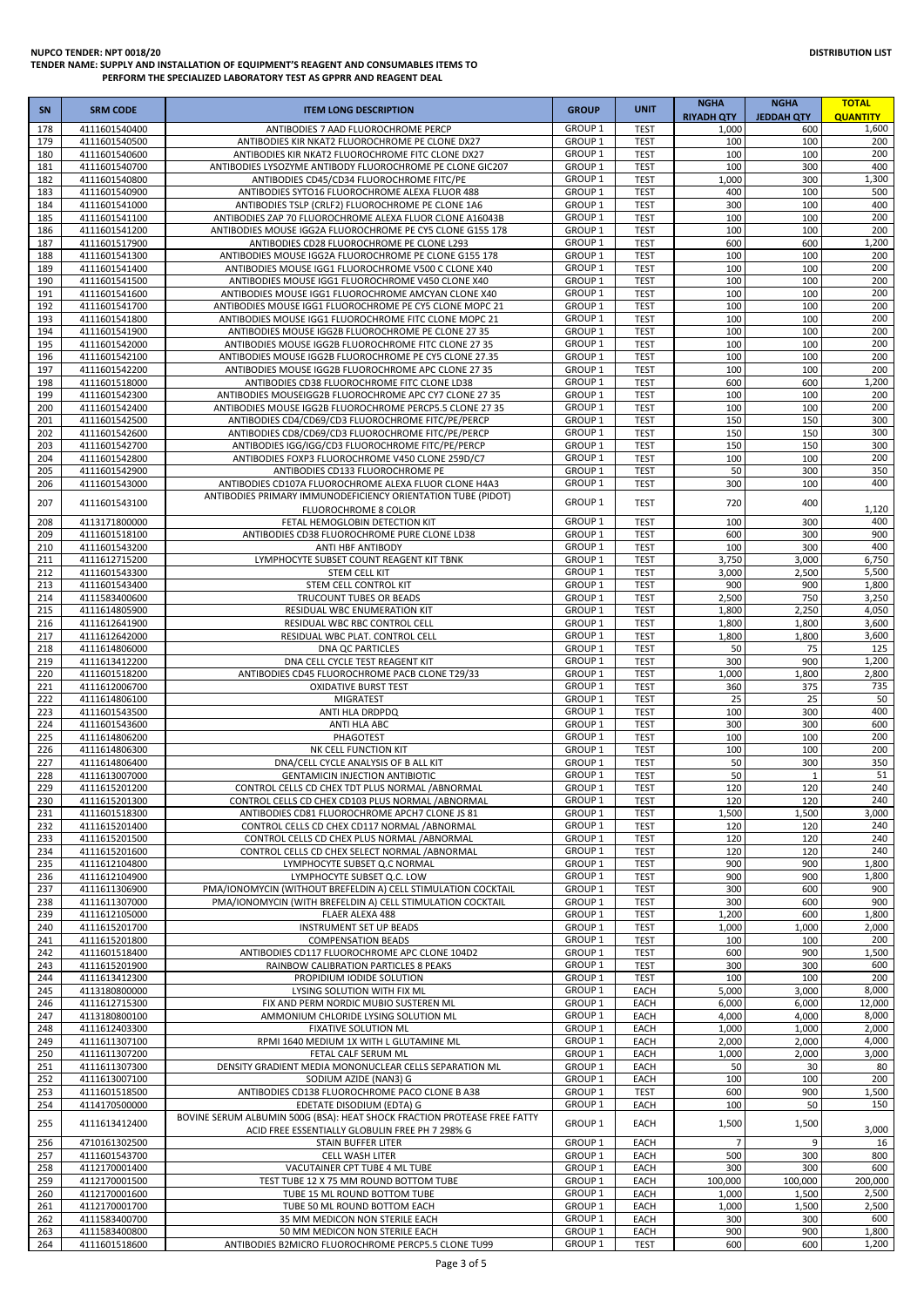| SN         | <b>SRM CODE</b>                | <b>ITEM LONG DESCRIPTION</b>                                                                                | <b>GROUP</b>                             | <b>UNIT</b>                | <b>NGHA</b><br><b>RIYADH QTY</b> | <b>NGHA</b><br><b>JEDDAH QTY</b> | <b>TOTAL</b><br><b>QUANTITY</b> |
|------------|--------------------------------|-------------------------------------------------------------------------------------------------------------|------------------------------------------|----------------------------|----------------------------------|----------------------------------|---------------------------------|
| 178        | 4111601540400                  | ANTIBODIES 7 AAD FLUOROCHROME PERCP                                                                         | <b>GROUP 1</b>                           | <b>TEST</b>                | 1,000                            | 600                              | 1,600                           |
| 179        | 4111601540500                  | ANTIBODIES KIR NKAT2 FLUOROCHROME PE CLONE DX27                                                             | GROUP <sub>1</sub>                       | <b>TEST</b>                | 100                              | 100                              | 200                             |
| 180        | 4111601540600                  | ANTIBODIES KIR NKAT2 FLUOROCHROME FITC CLONE DX27                                                           | <b>GROUP 1</b><br><b>GROUP 1</b>         | <b>TEST</b><br><b>TEST</b> | 100<br>100                       | 100<br>300                       | 200<br>400                      |
| 181<br>182 | 4111601540700<br>4111601540800 | ANTIBODIES LYSOZYME ANTIBODY FLUOROCHROME PE CLONE GIC207<br>ANTIBODIES CD45/CD34 FLUOROCHROME FITC/PE      | GROUP <sub>1</sub>                       | <b>TEST</b>                | 1,000                            | 300                              | 1,300                           |
| 183        | 4111601540900                  | ANTIBODIES SYTO16 FLUOROCHROME ALEXA FLUOR 488                                                              | GROUP <sub>1</sub>                       | <b>TEST</b>                | 400                              | 100                              | 500                             |
| 184        | 4111601541000                  | ANTIBODIES TSLP (CRLF2) FLUOROCHROME PE CLONE 1A6                                                           | GROUP <sub>1</sub>                       | <b>TEST</b>                | 300                              | 100                              | 400                             |
| 185        | 4111601541100                  | ANTIBODIES ZAP 70 FLUOROCHROME ALEXA FLUOR CLONE A16043B                                                    | GROUP <sub>1</sub>                       | <b>TEST</b>                | 100                              | 100                              | 200                             |
| 186        | 4111601541200                  | ANTIBODIES MOUSE IGG2A FLUOROCHROME PE CY5 CLONE G155 178<br>ANTIBODIES CD28 FLUOROCHROME PE CLONE L293     | GROUP <sub>1</sub><br>GROUP <sub>1</sub> | <b>TEST</b>                | 100                              | 100<br>600                       | 200<br>1,200                    |
| 187<br>188 | 4111601517900<br>4111601541300 | ANTIBODIES MOUSE IGG2A FLUOROCHROME PE CLONE G155 178                                                       | <b>GROUP 1</b>                           | <b>TEST</b><br><b>TEST</b> | 600<br>100                       | 100                              | 200                             |
| 189        | 4111601541400                  | ANTIBODIES MOUSE IGG1 FLUOROCHROME V500 C CLONE X40                                                         | <b>GROUP 1</b>                           | <b>TEST</b>                | 100                              | 100                              | 200                             |
| 190        | 4111601541500                  | ANTIBODIES MOUSE IGG1 FLUOROCHROME V450 CLONE X40                                                           | GROUP <sub>1</sub>                       | <b>TEST</b>                | 100                              | 100                              | 200                             |
| 191        | 4111601541600                  | ANTIBODIES MOUSE IGG1 FLUOROCHROME AMCYAN CLONE X40                                                         | GROUP <sub>1</sub>                       | <b>TEST</b>                | 100                              | 100                              | 200                             |
| 192<br>193 | 4111601541700                  | ANTIBODIES MOUSE IGG1 FLUOROCHROME PE CY5 CLONE MOPC 21                                                     | GROUP <sub>1</sub><br>GROUP <sub>1</sub> | <b>TEST</b><br><b>TEST</b> | 100<br>100                       | 100<br>100                       | 200<br>200                      |
| 194        | 4111601541800<br>4111601541900 | ANTIBODIES MOUSE IGG1 FLUOROCHROME FITC CLONE MOPC 21<br>ANTIBODIES MOUSE IGG2B FLUOROCHROME PE CLONE 27 35 | GROUP <sub>1</sub>                       | <b>TEST</b>                | 100                              | 100                              | 200                             |
| 195        | 4111601542000                  | ANTIBODIES MOUSE IGG2B FLUOROCHROME FITC CLONE 27 35                                                        | <b>GROUP 1</b>                           | <b>TEST</b>                | 100                              | 100                              | 200                             |
| 196        | 4111601542100                  | ANTIBODIES MOUSE IGG2B FLUOROCHROME PE CY5 CLONE 27.35                                                      | GROUP <sub>1</sub>                       | <b>TEST</b>                | 100                              | 100                              | 200                             |
| 197        | 4111601542200                  | ANTIBODIES MOUSE IGG2B FLUOROCHROME APC CLONE 27 35                                                         | GROUP <sub>1</sub>                       | <b>TEST</b>                | 100                              | 100                              | 200                             |
| 198<br>199 | 4111601518000<br>4111601542300 | ANTIBODIES CD38 FLUOROCHROME FITC CLONE LD38<br>ANTIBODIES MOUSEIGG2B FLUOROCHROME APC CY7 CLONE 27 35      | GROUP <sub>1</sub><br><b>GROUP 1</b>     | <b>TEST</b><br><b>TEST</b> | 600<br>100                       | 600<br>100                       | 1,200<br>200                    |
| 200        | 4111601542400                  | ANTIBODIES MOUSE IGG2B FLUOROCHROME PERCP5.5 CLONE 27 35                                                    | GROUP <sub>1</sub>                       | <b>TEST</b>                | 100                              | 100                              | 200                             |
| 201        | 4111601542500                  | ANTIBODIES CD4/CD69/CD3 FLUOROCHROME FITC/PE/PERCP                                                          | GROUP <sub>1</sub>                       | <b>TEST</b>                | 150                              | 150                              | 300                             |
| 202        | 4111601542600                  | ANTIBODIES CD8/CD69/CD3 FLUOROCHROME FITC/PE/PERCP                                                          | GROUP <sub>1</sub>                       | <b>TEST</b>                | 150                              | 150                              | 300                             |
| 203        | 4111601542700                  | ANTIBODIES IGG/IGG/CD3 FLUOROCHROME FITC/PE/PERCP                                                           | GROUP <sub>1</sub>                       | <b>TEST</b>                | 150                              | 150                              | 300                             |
| 204        | 4111601542800                  | ANTIBODIES FOXP3 FLUOROCHROME V450 CLONE 259D/C7                                                            | GROUP <sub>1</sub><br><b>GROUP 1</b>     | <b>TEST</b>                | 100                              | 100                              | 200<br>350                      |
| 205<br>206 | 4111601542900<br>4111601543000 | ANTIBODIES CD133 FLUOROCHROME PE<br>ANTIBODIES CD107A FLUOROCHROME ALEXA FLUOR CLONE H4A3                   | GROUP <sub>1</sub>                       | <b>TEST</b><br><b>TEST</b> | 50<br>300                        | 300<br>100                       | 400                             |
|            |                                | ANTIBODIES PRIMARY IMMUNODEFICIENCY ORIENTATION TUBE (PIDOT)                                                |                                          |                            |                                  |                                  |                                 |
| 207        | 4111601543100                  | FLUOROCHROME 8 COLOR                                                                                        | GROUP <sub>1</sub>                       | <b>TEST</b>                | 720                              | 400                              | 1,120                           |
| 208        | 4113171800000                  | FETAL HEMOGLOBIN DETECTION KIT                                                                              | <b>GROUP 1</b>                           | <b>TEST</b>                | 100                              | 300                              | 400                             |
| 209        | 4111601518100                  | ANTIBODIES CD38 FLUOROCHROME PURE CLONE LD38                                                                | <b>GROUP 1</b>                           | <b>TEST</b>                | 600                              | 300                              | 900                             |
| 210<br>211 | 4111601543200<br>4111612715200 | ANTI HBF ANTIBODY<br>LYMPHOCYTE SUBSET COUNT REAGENT KIT TBNK                                               | GROUP <sub>1</sub><br>GROUP <sub>1</sub> | <b>TEST</b><br><b>TEST</b> | 100<br>3,750                     | 300<br>3,000                     | 400<br>6,750                    |
| 212        | 4111601543300                  | STEM CELL KIT                                                                                               | GROUP <sub>1</sub>                       | <b>TEST</b>                | 3,000                            | 2,500                            | 5,500                           |
| 213        | 4111601543400                  | STEM CELL CONTROL KIT                                                                                       | GROUP <sub>1</sub>                       | <b>TEST</b>                | 900                              | 900                              | 1,800                           |
| 214        | 4111583400600                  | TRUCOUNT TUBES OR BEADS                                                                                     | GROUP <sub>1</sub>                       | <b>TEST</b>                | 2,500                            | 750                              | 3,250                           |
| 215        | 4111614805900                  | RESIDUAL WBC ENUMERATION KIT                                                                                | GROUP <sub>1</sub>                       | <b>TEST</b>                | 1,800                            | 2,250                            | 4,050                           |
| 216<br>217 | 4111612641900<br>4111612642000 | RESIDUAL WBC RBC CONTROL CELL<br>RESIDUAL WBC PLAT. CONTROL CELL                                            | <b>GROUP 1</b><br>GROUP <sub>1</sub>     | <b>TEST</b><br><b>TEST</b> | 1,800<br>1,800                   | 1,800<br>1,800                   | 3,600<br>3,600                  |
| 218        | 4111614806000                  | DNA QC PARTICLES                                                                                            | <b>GROUP 1</b>                           | <b>TEST</b>                | 50                               | 75                               | 125                             |
| 219        | 4111613412200                  | DNA CELL CYCLE TEST REAGENT KIT                                                                             | GROUP <sub>1</sub>                       | <b>TEST</b>                | 300                              | 900                              | 1,200                           |
| 220        | 4111601518200                  | ANTIBODIES CD45 FLUOROCHROME PACB CLONE T29/33                                                              | GROUP <sub>1</sub>                       | <b>TEST</b>                | 1,000                            | 1,800                            | 2,800                           |
| 221        | 4111612006700                  | <b>OXIDATIVE BURST TEST</b>                                                                                 | GROUP <sub>1</sub>                       | <b>TEST</b>                | 360                              | 375                              | 735                             |
| 222        | 4111614806100<br>4111601543500 | <b>MIGRATEST</b>                                                                                            | GROUP <sub>1</sub><br><b>GROUP 1</b>     | <b>TEST</b>                | 25<br>100                        | 25<br>300                        | 50<br>400                       |
| 223<br>224 | 4111601543600                  | ANTI HLA DRDPDQ<br>ANTI HLA ABC                                                                             | GROUP <sub>1</sub>                       | <b>TEST</b><br><b>TEST</b> | 300                              | 300                              | 600                             |
| 225        | 4111614806200                  | PHAGOTEST                                                                                                   | <b>GROUP 1</b>                           | <b>TEST</b>                | 100                              | 100                              | 200                             |
| 226        | 4111614806300                  | NK CELL FUNCTION KIT                                                                                        | <b>GROUP 1</b>                           | <b>TEST</b>                | 100                              | 100                              | 200                             |
| 227        | 4111614806400                  | DNA/CELL CYCLE ANALYSIS OF B ALL KIT                                                                        | <b>GROUP 1</b>                           | <b>TEST</b>                | 50                               | 300                              | 350                             |
| 228<br>229 | 4111613007000<br>4111615201200 | <b>GENTAMICIN INJECTION ANTIBIOTIC</b><br>CONTROL CELLS CD CHEX TDT PLUS NORMAL / ABNORMAL                  | GROUP <sub>1</sub><br>GROUP 1            | <b>TEST</b><br><b>TEST</b> | 50<br>120                        | $\mathbf{1}$<br>120              | 51<br>240                       |
| 230        | 4111615201300                  | CONTROL CELLS CD CHEX CD103 PLUS NORMAL / ABNORMAL                                                          | GROUP 1                                  | <b>TEST</b>                | 120                              | 120                              | 240                             |
| 231        | 4111601518300                  | ANTIBODIES CD81 FLUOROCHROME APCH7 CLONE JS 81                                                              | GROUP <sub>1</sub>                       | <b>TEST</b>                | 1,500                            | 1,500                            | 3,000                           |
| 232        | 4111615201400                  | CONTROL CELLS CD CHEX CD117 NORMAL / ABNORMAL                                                               | <b>GROUP 1</b>                           | <b>TEST</b>                | 120                              | 120                              | 240                             |
| 233        | 4111615201500                  | CONTROL CELLS CD CHEX PLUS NORMAL / ABNORMAL                                                                | GROUP <sub>1</sub>                       | <b>TEST</b>                | 120                              | 120                              | 240                             |
| 234<br>235 | 4111615201600<br>4111612104800 | CONTROL CELLS CD CHEX SELECT NORMAL / ABNORMAL                                                              | GROUP 1<br>GROUP <sub>1</sub>            | <b>TEST</b><br><b>TEST</b> | 120<br>900                       | 120<br>900                       | 240<br>1,800                    |
| 236        | 4111612104900                  | LYMPHOCYTE SUBSET Q.C NORMAL<br>LYMPHOCYTE SUBSET Q.C. LOW                                                  | GROUP <sub>1</sub>                       | <b>TEST</b>                | 900                              | 900                              | 1,800                           |
| 237        | 4111611306900                  | PMA/IONOMYCIN (WITHOUT BREFELDIN A) CELL STIMULATION COCKTAIL                                               | GROUP <sub>1</sub>                       | <b>TEST</b>                | 300                              | 600                              | 900                             |
| 238        | 4111611307000                  | PMA/IONOMYCIN (WITH BREFELDIN A) CELL STIMULATION COCKTAIL                                                  | <b>GROUP 1</b>                           | <b>TEST</b>                | 300                              | 600                              | 900                             |
| 239        | 4111612105000                  | FLAER ALEXA 488                                                                                             | <b>GROUP 1</b>                           | <b>TEST</b>                | 1,200                            | 600                              | 1,800                           |
| 240<br>241 | 4111615201700<br>4111615201800 | <b>INSTRUMENT SET UP BEADS</b><br><b>COMPENSATION BEADS</b>                                                 | GROUP <sub>1</sub><br><b>GROUP 1</b>     | <b>TEST</b><br><b>TEST</b> | 1,000<br>100                     | 1,000<br>100                     | 2,000<br>200                    |
| 242        | 4111601518400                  | ANTIBODIES CD117 FLUOROCHROME APC CLONE 104D2                                                               | GROUP <sub>1</sub>                       | <b>TEST</b>                | 600                              | 900                              | 1,500                           |
| 243        | 4111615201900                  | RAINBOW CALIBRATION PARTICLES 8 PEAKS                                                                       | GROUP <sub>1</sub>                       | <b>TEST</b>                | 300                              | 300                              | 600                             |
| 244        | 4111613412300                  | PROPIDIUM IODIDE SOLUTION                                                                                   | GROUP <sub>1</sub>                       | <b>TEST</b>                | 100                              | 100                              | 200                             |
| 245        | 4113180800000                  | LYSING SOLUTION WITH FIX ML                                                                                 | GROUP <sub>1</sub>                       | EACH                       | 5,000                            | 3,000                            | 8,000                           |
| 246<br>247 | 4111612715300<br>4113180800100 | FIX AND PERM NORDIC MUBIO SUSTEREN ML<br>AMMONIUM CHLORIDE LYSING SOLUTION ML                               | GROUP <sub>1</sub><br><b>GROUP 1</b>     | EACH<br>EACH               | 6,000<br>4,000                   | 6,000<br>4,000                   | 12,000<br>8,000                 |
| 248        | 4111612403300                  | FIXATIVE SOLUTION ML                                                                                        | GROUP 1                                  | EACH                       | 1,000                            | 1,000                            | 2,000                           |
| 249        | 4111611307100                  | RPMI 1640 MEDIUM 1X WITH L GLUTAMINE ML                                                                     | GROUP <sub>1</sub>                       | EACH                       | 2,000                            | 2,000                            | 4,000                           |
| 250        | 4111611307200                  | FETAL CALF SERUM ML                                                                                         | GROUP <sub>1</sub>                       | EACH                       | 1,000                            | 2,000                            | 3,000                           |
| 251        | 4111611307300                  | DENSITY GRADIENT MEDIA MONONUCLEAR CELLS SEPARATION ML                                                      | GROUP <sub>1</sub>                       | EACH                       | 50                               | 30                               | 80                              |
| 252<br>253 | 4111613007100<br>4111601518500 | SODIUM AZIDE (NAN3) G<br>ANTIBODIES CD138 FLUOROCHROME PACO CLONE B A38                                     | GROUP <sub>1</sub><br>GROUP <sub>1</sub> | EACH<br><b>TEST</b>        | 100<br>600                       | 100<br>900                       | 200<br>1,500                    |
| 254        | 4114170500000                  | EDETATE DISODIUM (EDTA) G                                                                                   | GROUP <sub>1</sub>                       | EACH                       | 100                              | 50                               | 150                             |
| 255        | 4111613412400                  | BOVINE SERUM ALBUMIN 500G (BSA): HEAT SHOCK FRACTION PROTEASE FREE FATTY                                    | <b>GROUP 1</b>                           | EACH                       | 1,500                            | 1,500                            |                                 |
| 256        | 4710161302500                  | ACID FREE ESSENTIALLY GLOBULIN FREE PH 7 298% G<br><b>STAIN BUFFER LITER</b>                                | GROUP <sub>1</sub>                       | EACH                       | $\overline{7}$                   | 9                                | 3,000<br>16                     |
| 257        | 4111601543700                  | CELL WASH LITER                                                                                             | GROUP <sub>1</sub>                       | EACH                       | 500                              | 300                              | 800                             |
| 258        | 4112170001400                  | VACUTAINER CPT TUBE 4 ML TUBE                                                                               | <b>GROUP 1</b>                           | EACH                       | 300                              | 300                              | 600                             |
| 259<br>260 | 4112170001500<br>4112170001600 | TEST TUBE 12 X 75 MM ROUND BOTTOM TUBE<br>TUBE 15 ML ROUND BOTTOM TUBE                                      | GROUP <sub>1</sub><br>GROUP <sub>1</sub> | EACH<br>EACH               | 100,000<br>1,000                 | 100,000<br>1,500                 | 200,000<br>2,500                |
| 261        | 4112170001700                  | TUBE 50 ML ROUND BOTTOM EACH                                                                                | GROUP <sub>1</sub>                       | EACH                       | 1,000                            | 1,500                            | 2,500                           |
| 262        | 4111583400700                  | 35 MM MEDICON NON STERILE EACH                                                                              | GROUP <sub>1</sub>                       | EACH                       | 300                              | 300                              | 600                             |
| 263        | 4111583400800                  | 50 MM MEDICON NON STERILE EACH                                                                              | GROUP <sub>1</sub>                       | EACH                       | 900                              | 900                              | 1,800                           |
| 264        | 4111601518600                  | ANTIBODIES B2MICRO FLUOROCHROME PERCP5.5 CLONE TU99                                                         | <b>GROUP 1</b>                           | <b>TEST</b>                | 600                              | 600                              | 1,200                           |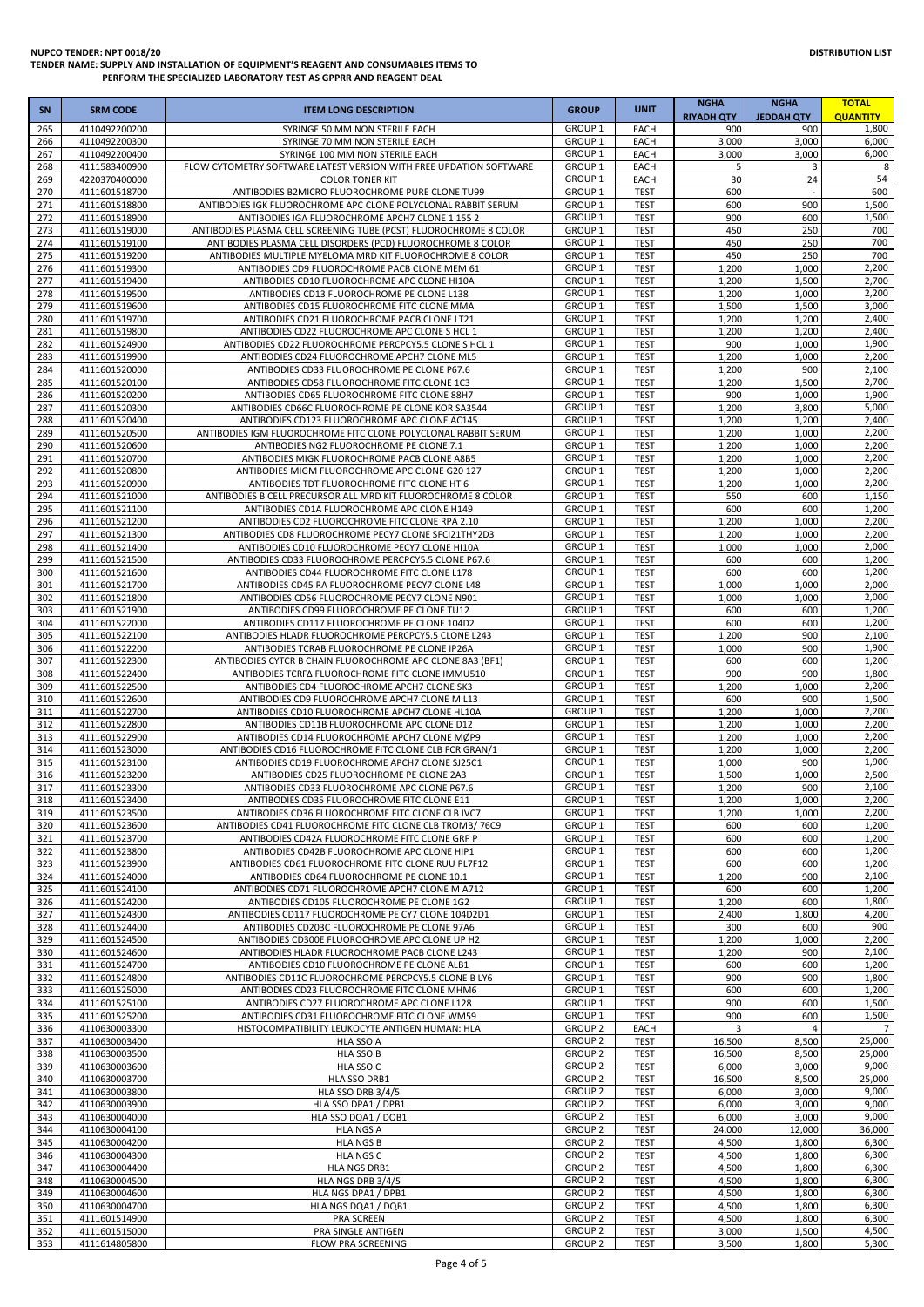| <b>SN</b>  | <b>SRM CODE</b>                | <b>ITEM LONG DESCRIPTION</b>                                                                                     | <b>GROUP</b>                             | <b>UNIT</b>                | <b>NGHA</b><br><b>RIYADH QTY</b> | <b>NGHA</b><br><b>JEDDAH QTY</b> | <b>TOTAL</b><br><b>QUANTITY</b> |
|------------|--------------------------------|------------------------------------------------------------------------------------------------------------------|------------------------------------------|----------------------------|----------------------------------|----------------------------------|---------------------------------|
| 265        | 4110492200200                  | SYRINGE 50 MM NON STERILE EACH                                                                                   | GROUP 1                                  | EACH                       | 900                              | 900                              | 1,800                           |
| 266        | 4110492200300                  | SYRINGE 70 MM NON STERILE EACH                                                                                   | GROUP <sub>1</sub><br>GROUP <sub>1</sub> | EACH                       | 3,000                            | 3,000                            | 6,000<br>6,000                  |
| 267<br>268 | 4110492200400<br>4111583400900 | SYRINGE 100 MM NON STERILE EACH<br>FLOW CYTOMETRY SOFTWARE LATEST VERSION WITH FREE UPDATION SOFTWARE            | GROUP <sub>1</sub>                       | EACH<br>EACH               | 3,000<br>5                       | 3,000<br>3                       | 8                               |
| 269        | 4220370400000                  | <b>COLOR TONER KIT</b>                                                                                           | GROUP <sub>1</sub>                       | EACH                       | 30                               | 24                               | 54                              |
| 270        | 4111601518700                  | ANTIBODIES B2MICRO FLUOROCHROME PURE CLONE TU99                                                                  | GROUP <sub>1</sub>                       | <b>TEST</b>                | 600                              |                                  | 600                             |
| 271<br>272 | 4111601518800<br>4111601518900 | ANTIBODIES IGK FLUOROCHROME APC CLONE POLYCLONAL RABBIT SERUM<br>ANTIBODIES IGA FLUOROCHROME APCH7 CLONE 1 155 2 | GROUP <sub>1</sub><br>GROUP <sub>1</sub> | <b>TEST</b><br><b>TEST</b> | 600<br>900                       | 900<br>600                       | 1,500<br>1,500                  |
| 273        | 4111601519000                  | ANTIBODIES PLASMA CELL SCREENING TUBE (PCST) FLUOROCHROME 8 COLOR                                                | GROUP <sub>1</sub>                       | <b>TEST</b>                | 450                              | 250                              | 700                             |
| 274        | 4111601519100                  | ANTIBODIES PLASMA CELL DISORDERS (PCD) FLUOROCHROME 8 COLOR                                                      | GROUP <sub>1</sub>                       | <b>TEST</b>                | 450                              | 250                              | 700                             |
| 275        | 4111601519200                  | ANTIBODIES MULTIPLE MYELOMA MRD KIT FLUOROCHROME 8 COLOR                                                         | GROUP <sub>1</sub>                       | <b>TEST</b>                | 450                              | 250                              | 700                             |
| 276<br>277 | 4111601519300<br>4111601519400 | ANTIBODIES CD9 FLUOROCHROME PACB CLONE MEM 61<br>ANTIBODIES CD10 FLUOROCHROME APC CLONE HI10A                    | GROUP <sub>1</sub><br><b>GROUP 1</b>     | <b>TEST</b><br><b>TEST</b> | 1,200<br>1,200                   | 1,000<br>1,500                   | 2,200<br>2,700                  |
| 278        | 4111601519500                  | ANTIBODIES CD13 FLUOROCHROME PE CLONE L138                                                                       | GROUP <sub>1</sub>                       | <b>TEST</b>                | 1,200                            | 1,000                            | 2,200                           |
| 279        | 4111601519600                  | ANTIBODIES CD15 FLUOROCHROME FITC CLONE MMA                                                                      | <b>GROUP 1</b>                           | <b>TEST</b>                | 1,500                            | 1,500                            | 3,000                           |
| 280<br>281 | 4111601519700<br>4111601519800 | ANTIBODIES CD21 FLUOROCHROME PACB CLONE LT21<br>ANTIBODIES CD22 FLUOROCHROME APC CLONE S HCL 1                   | GROUP <sub>1</sub><br><b>GROUP 1</b>     | <b>TEST</b><br><b>TEST</b> | 1,200<br>1,200                   | 1,200<br>1,200                   | 2,400<br>2,400                  |
| 282        | 4111601524900                  | ANTIBODIES CD22 FLUOROCHROME PERCPCY5.5 CLONE S HCL 1                                                            | GROUP <sub>1</sub>                       | <b>TEST</b>                | 900                              | 1,000                            | 1,900                           |
| 283        | 4111601519900                  | ANTIBODIES CD24 FLUOROCHROME APCH7 CLONE ML5                                                                     | GROUP <sub>1</sub>                       | <b>TEST</b>                | 1,200                            | 1,000                            | 2,200                           |
| 284<br>285 | 4111601520000<br>4111601520100 | ANTIBODIES CD33 FLUOROCHROME PE CLONE P67.6<br>ANTIBODIES CD58 FLUOROCHROME FITC CLONE 1C3                       | GROUP <sub>1</sub><br>GROUP <sub>1</sub> | <b>TEST</b><br><b>TEST</b> | 1,200<br>1,200                   | 900<br>1,500                     | 2,100<br>2,700                  |
| 286        | 4111601520200                  | ANTIBODIES CD65 FLUOROCHROME FITC CLONE 88H7                                                                     | GROUP <sub>1</sub>                       | <b>TEST</b>                | 900                              | 1,000                            | 1,900                           |
| 287        | 4111601520300                  | ANTIBODIES CD66C FLUOROCHROME PE CLONE KOR SA3544                                                                | GROUP <sub>1</sub>                       | <b>TEST</b>                | 1,200                            | 3,800                            | 5,000                           |
| 288        | 4111601520400                  | ANTIBODIES CD123 FLUOROCHROME APC CLONE AC145                                                                    | GROUP <sub>1</sub><br><b>GROUP 1</b>     | <b>TEST</b>                | 1,200                            | 1,200                            | 2,400                           |
| 289<br>290 | 4111601520500<br>4111601520600 | ANTIBODIES IGM FLUOROCHROME FITC CLONE POLYCLONAL RABBIT SERUM<br>ANTIBODIES NG2 FLUOROCHROME PE CLONE 7.1       | GROUP <sub>1</sub>                       | <b>TEST</b><br><b>TEST</b> | 1,200<br>1,200                   | 1,000<br>1,000                   | 2,200<br>2,200                  |
| 291        | 4111601520700                  | ANTIBODIES MIGK FLUOROCHROME PACB CLONE A8B5                                                                     | GROUP <sub>1</sub>                       | <b>TEST</b>                | 1,200                            | 1,000                            | 2,200                           |
| 292        | 4111601520800                  | ANTIBODIES MIGM FLUOROCHROME APC CLONE G20 127                                                                   | <b>GROUP 1</b>                           | <b>TEST</b>                | 1,200                            | 1,000                            | 2,200                           |
| 293<br>294 | 4111601520900<br>4111601521000 | ANTIBODIES TDT FLUOROCHROME FITC CLONE HT 6<br>ANTIBODIES B CELL PRECURSOR ALL MRD KIT FLUOROCHROME 8 COLOR      | GROUP <sub>1</sub><br><b>GROUP 1</b>     | <b>TEST</b><br><b>TEST</b> | 1,200<br>550                     | 1,000<br>600                     | 2,200<br>1,150                  |
| 295        | 4111601521100                  | ANTIBODIES CD1A FLUOROCHROME APC CLONE H149                                                                      | <b>GROUP 1</b>                           | <b>TEST</b>                | 600                              | 600                              | 1,200                           |
| 296        | 4111601521200                  | ANTIBODIES CD2 FLUOROCHROME FITC CLONE RPA 2.10                                                                  | GROUP <sub>1</sub>                       | <b>TEST</b>                | 1,200                            | 1,000                            | 2,200                           |
| 297        | 4111601521300                  | ANTIBODIES CD8 FLUOROCHROME PECY7 CLONE SFCI21THY2D3                                                             | GROUP <sub>1</sub>                       | <b>TEST</b>                | 1,200                            | 1,000                            | 2,200                           |
| 298<br>299 | 4111601521400<br>4111601521500 | ANTIBODIES CD10 FLUOROCHROME PECY7 CLONE HI10A<br>ANTIBODIES CD33 FLUOROCHROME PERCPCY5.5 CLONE P67.6            | GROUP <sub>1</sub><br>GROUP <sub>1</sub> | <b>TEST</b><br><b>TEST</b> | 1,000<br>600                     | 1,000<br>600                     | 2,000<br>1,200                  |
| 300        | 4111601521600                  | ANTIBODIES CD44 FLUOROCHROME FITC CLONE L178                                                                     | GROUP <sub>1</sub>                       | <b>TEST</b>                | 600                              | 600                              | 1,200                           |
| 301        | 4111601521700                  | ANTIBODIES CD45 RA FLUOROCHROME PECY7 CLONE L48                                                                  | <b>GROUP 1</b>                           | <b>TEST</b>                | 1,000                            | 1,000                            | 2,000                           |
| 302<br>303 | 4111601521800<br>4111601521900 | ANTIBODIES CD56 FLUOROCHROME PECY7 CLONE N901<br>ANTIBODIES CD99 FLUOROCHROME PE CLONE TU12                      | <b>GROUP 1</b><br>GROUP <sub>1</sub>     | <b>TEST</b><br><b>TEST</b> | 1,000<br>600                     | 1,000<br>600                     | 2,000<br>1,200                  |
| 304        | 4111601522000                  | ANTIBODIES CD117 FLUOROCHROME PE CLONE 104D2                                                                     | GROUP <sub>1</sub>                       | <b>TEST</b>                | 600                              | 600                              | 1,200                           |
| 305        | 4111601522100                  | ANTIBODIES HLADR FLUOROCHROME PERCPCY5.5 CLONE L243                                                              | GROUP <sub>1</sub>                       | <b>TEST</b>                | 1,200                            | 900                              | 2,100                           |
| 306<br>307 | 4111601522200<br>4111601522300 | ANTIBODIES TCRAB FLUOROCHROME PE CLONE IP26A<br>ANTIBODIES CYTCR B CHAIN FLUOROCHROME APC CLONE 8A3 (BF1)        | GROUP <sub>1</sub><br>GROUP <sub>1</sub> | <b>TEST</b><br><b>TEST</b> | 1,000<br>600                     | 900<br>600                       | 1,900<br>1,200                  |
| 308        | 4111601522400                  | ANTIBODIES TCRFA FLUOROCHROME FITC CLONE IMMU510                                                                 | GROUP <sub>1</sub>                       | <b>TEST</b>                | 900                              | 900                              | 1,800                           |
| 309        | 4111601522500                  | ANTIBODIES CD4 FLUOROCHROME APCH7 CLONE SK3                                                                      | GROUP <sub>1</sub>                       | <b>TEST</b>                | 1,200                            | 1,000                            | 2,200                           |
| 310        | 4111601522600                  | ANTIBODIES CD9 FLUOROCHROME APCH7 CLONE M L13                                                                    | <b>GROUP 1</b>                           | <b>TEST</b>                | 600                              | 900                              | 1,500                           |
| 311<br>312 | 4111601522700<br>4111601522800 | ANTIBODIES CD10 FLUOROCHROME APCH7 CLONE HL10A<br>ANTIBODIES CD11B FLUOROCHROME APC CLONE D12                    | GROUP <sub>1</sub><br>GROUP <sub>1</sub> | <b>TEST</b><br><b>TEST</b> | 1,200<br>1,200                   | 1,000<br>1,000                   | 2,200<br>2,200                  |
| 313        | 4111601522900                  | ANTIBODIES CD14 FLUOROCHROME APCH7 CLONE MØP9                                                                    | <b>GROUP 1</b>                           | <b>TEST</b>                | 1,200                            | 1,000                            | 2,200                           |
| 314        | 4111601523000                  | ANTIBODIES CD16 FLUOROCHROME FITC CLONE CLB FCR GRAN/1                                                           | <b>GROUP 1</b>                           | <b>TEST</b>                | 1,200                            | 1,000                            | 2,200                           |
| 315<br>316 | 4111601523100<br>4111601523200 | ANTIBODIES CD19 FLUOROCHROME APCH7 CLONE SJ25C1<br>ANTIBODIES CD25 FLUOROCHROME PE CLONE 2A3                     | GROUP <sub>1</sub><br><b>GROUP 1</b>     | <b>TEST</b><br><b>TEST</b> | 1,000<br>1,500                   | 900<br>1,000                     | 1,900<br>2,500                  |
| 317        | 4111601523300                  | ANTIBODIES CD33 FLUOROCHROME APC CLONE P67.6                                                                     | GROUP 1                                  | <b>TEST</b>                | 1,200                            | 900                              | 2,100                           |
| 318        | 4111601523400                  | ANTIBODIES CD35 FLUOROCHROME FITC CLONE E11                                                                      | GROUP <sub>1</sub>                       | <b>TEST</b>                | 1,200                            | 1,000                            | 2,200                           |
| 319<br>320 | 4111601523500<br>4111601523600 | ANTIBODIES CD36 FLUOROCHROME FITC CLONE CLB IVC7<br>ANTIBODIES CD41 FLUOROCHROME FITC CLONE CLB TROMB/76C9       | GROUP <sub>1</sub><br>GROUP <sub>1</sub> | <b>TEST</b><br><b>TEST</b> | 1,200<br>600                     | 1,000<br>600                     | 2,200<br>1,200                  |
| 321        | 4111601523700                  | ANTIBODIES CD42A FLUOROCHROME FITC CLONE GRP P                                                                   | GROUP <sub>1</sub>                       | <b>TEST</b>                | 600                              | 600                              | 1,200                           |
| 322        | 4111601523800                  | ANTIBODIES CD42B FLUOROCHROME APC CLONE HIP1                                                                     | GROUP <sub>1</sub>                       | <b>TEST</b>                | 600                              | 600                              | 1,200                           |
| 323        | 4111601523900                  | ANTIBODIES CD61 FLUOROCHROME FITC CLONE RUU PL7F12                                                               | GROUP <sub>1</sub><br><b>GROUP 1</b>     | <b>TEST</b>                | 600                              | 600                              | 1,200                           |
| 324<br>325 | 4111601524000<br>4111601524100 | ANTIBODIES CD64 FLUOROCHROME PE CLONE 10.1<br>ANTIBODIES CD71 FLUOROCHROME APCH7 CLONE M A712                    | <b>GROUP 1</b>                           | <b>TEST</b><br><b>TEST</b> | 1,200<br>600                     | 900<br>600                       | 2,100<br>1,200                  |
| 326        | 4111601524200                  | ANTIBODIES CD105 FLUOROCHROME PE CLONE 1G2                                                                       | GROUP <sub>1</sub>                       | <b>TEST</b>                | 1,200                            | 600                              | 1,800                           |
| 327        | 4111601524300                  | ANTIBODIES CD117 FLUOROCHROME PE CY7 CLONE 104D2D1                                                               | <b>GROUP 1</b>                           | <b>TEST</b>                | 2,400                            | 1,800                            | 4,200                           |
| 328<br>329 | 4111601524400<br>4111601524500 | ANTIBODIES CD203C FLUOROCHROME PE CLONE 97A6<br>ANTIBODIES CD300E FLUOROCHROME APC CLONE UP H2                   | GROUP <sub>1</sub><br>GROUP <sub>1</sub> | <b>TEST</b><br><b>TEST</b> | 300<br>1,200                     | 600<br>1,000                     | 900<br>2,200                    |
| 330        | 4111601524600                  | ANTIBODIES HLADR FLUOROCHROME PACB CLONE L243                                                                    | GROUP <sub>1</sub>                       | <b>TEST</b>                | 1,200                            | 900                              | 2,100                           |
| 331        | 4111601524700                  | ANTIBODIES CD10 FLUOROCHROME PE CLONE ALB1                                                                       | <b>GROUP 1</b>                           | <b>TEST</b>                | 600                              | 600                              | 1,200                           |
| 332<br>333 | 4111601524800<br>4111601525000 | ANTIBODIES CD11C FLUOROCHROME PERCPCY5.5 CLONE B LY6<br>ANTIBODIES CD23 FLUOROCHROME FITC CLONE MHM6             | GROUP <sub>1</sub><br><b>GROUP 1</b>     | <b>TEST</b><br><b>TEST</b> | 900<br>600                       | 900<br>600                       | 1,800<br>1,200                  |
| 334        | 4111601525100                  | ANTIBODIES CD27 FLUOROCHROME APC CLONE L128                                                                      | GROUP <sub>1</sub>                       | <b>TEST</b>                | 900                              | 600                              | 1,500                           |
| 335        | 4111601525200                  | ANTIBODIES CD31 FLUOROCHROME FITC CLONE WM59                                                                     | GROUP <sub>1</sub>                       | <b>TEST</b>                | 900                              | 600                              | 1,500                           |
| 336        | 4110630003300                  | HISTOCOMPATIBILITY LEUKOCYTE ANTIGEN HUMAN: HLA                                                                  | <b>GROUP 2</b><br><b>GROUP 2</b>         | EACH                       | 3                                | 4                                | $\overline{7}$                  |
| 337<br>338 | 4110630003400<br>4110630003500 | HLA SSO A<br>HLA SSO B                                                                                           | <b>GROUP 2</b>                           | <b>TEST</b><br><b>TEST</b> | 16,500<br>16,500                 | 8,500<br>8,500                   | 25,000<br>25,000                |
| 339        | 4110630003600                  | HLA SSO C                                                                                                        | <b>GROUP 2</b>                           | <b>TEST</b>                | 6,000                            | 3,000                            | 9,000                           |
| 340        | 4110630003700                  | HLA SSO DRB1                                                                                                     | <b>GROUP 2</b><br><b>GROUP 2</b>         | <b>TEST</b>                | 16,500                           | 8,500                            | 25,000<br>9,000                 |
| 341<br>342 | 4110630003800<br>4110630003900 | HLA SSO DRB 3/4/5<br>HLA SSO DPA1 / DPB1                                                                         | <b>GROUP 2</b>                           | <b>TEST</b><br><b>TEST</b> | 6,000<br>6,000                   | 3,000<br>3,000                   | 9,000                           |
| 343        | 4110630004000                  | HLA SSO DQA1 / DQB1                                                                                              | <b>GROUP 2</b>                           | <b>TEST</b>                | 6,000                            | 3,000                            | 9,000                           |
| 344        | 4110630004100                  | <b>HLA NGS A</b>                                                                                                 | <b>GROUP 2</b>                           | <b>TEST</b>                | 24,000                           | 12,000                           | 36,000                          |
| 345<br>346 | 4110630004200<br>4110630004300 | <b>HLA NGS B</b><br>HLA NGS C                                                                                    | <b>GROUP 2</b><br><b>GROUP 2</b>         | <b>TEST</b><br><b>TEST</b> | 4,500<br>4,500                   | 1,800<br>1,800                   | 6,300<br>6,300                  |
| 347        | 4110630004400                  | HLA NGS DRB1                                                                                                     | <b>GROUP 2</b>                           | <b>TEST</b>                | 4,500                            | 1,800                            | 6,300                           |
| 348        | 4110630004500                  | HLA NGS DRB 3/4/5                                                                                                | <b>GROUP 2</b>                           | <b>TEST</b>                | 4,500                            | 1,800                            | 6,300                           |
| 349<br>350 | 4110630004600<br>4110630004700 | HLA NGS DPA1 / DPB1<br>HLA NGS DQA1 / DQB1                                                                       | <b>GROUP 2</b><br><b>GROUP 2</b>         | <b>TEST</b><br><b>TEST</b> | 4,500<br>4,500                   | 1,800<br>1,800                   | 6,300<br>6,300                  |
| 351        | 4111601514900                  | PRA SCREEN                                                                                                       | <b>GROUP 2</b>                           | <b>TEST</b>                | 4,500                            | 1,800                            | 6,300                           |
| 352        | 4111601515000                  | PRA SINGLE ANTIGEN                                                                                               | <b>GROUP 2</b>                           | <b>TEST</b>                | 3,000                            | 1,500                            | 4,500                           |
| 353        | 4111614805800                  | FLOW PRA SCREENING                                                                                               | <b>GROUP 2</b>                           | <b>TEST</b>                | 3,500                            | 1,800                            | 5,300                           |